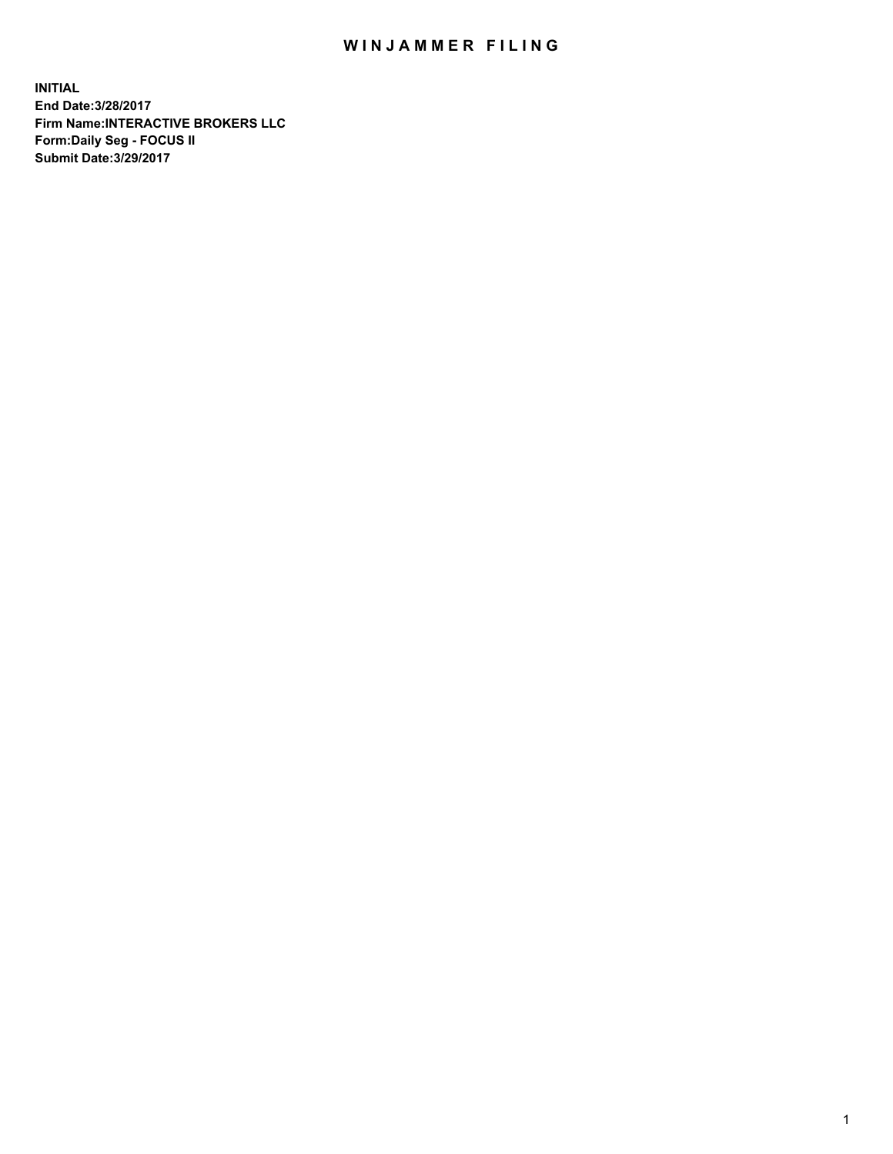## WIN JAMMER FILING

**INITIAL End Date:3/28/2017 Firm Name:INTERACTIVE BROKERS LLC Form:Daily Seg - FOCUS II Submit Date:3/29/2017**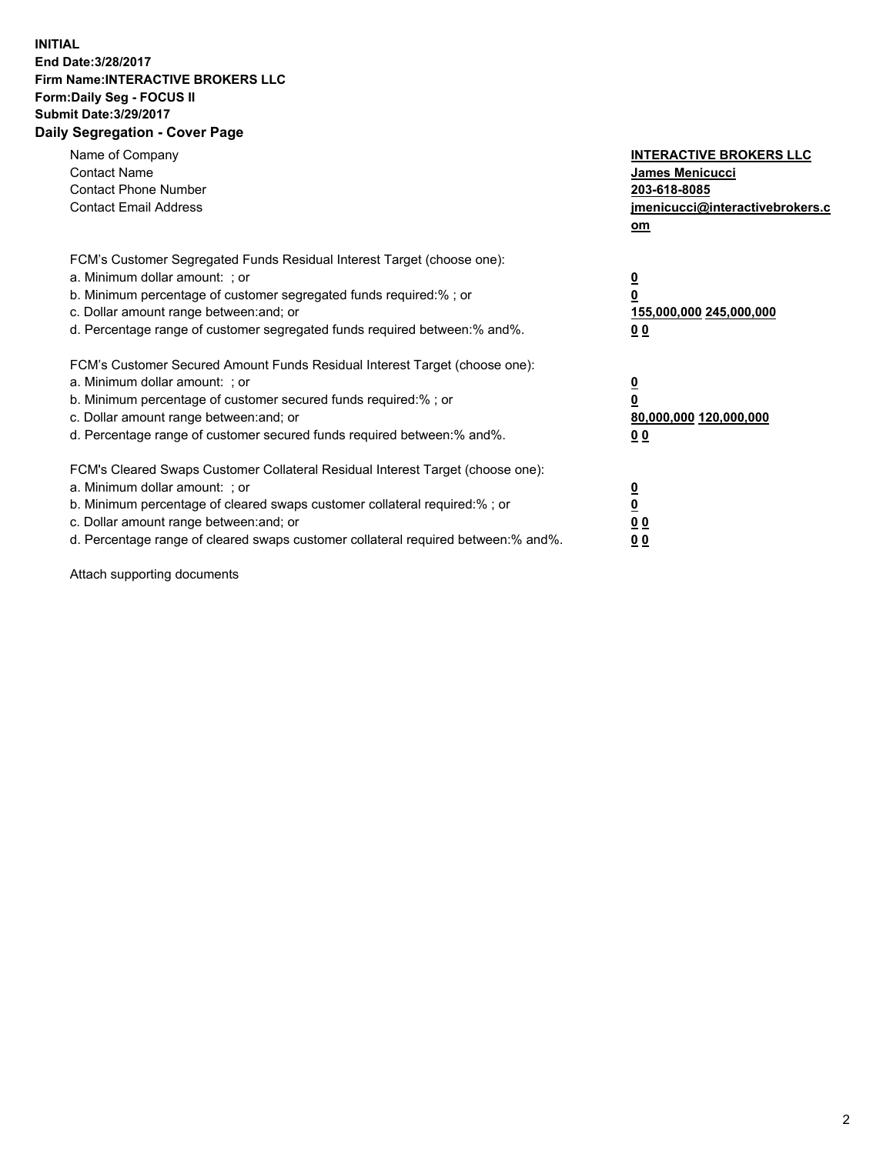## **INITIAL End Date:3/28/2017 Firm Name:INTERACTIVE BROKERS LLC Form:Daily Seg - FOCUS II Submit Date:3/29/2017 Daily Segregation - Cover Page**

| Name of Company<br><b>Contact Name</b><br><b>Contact Phone Number</b><br><b>Contact Email Address</b>                                                                                                                                                                                                                          | <b>INTERACTIVE BROKERS LLC</b><br><b>James Menicucci</b><br>203-618-8085<br>jmenicucci@interactivebrokers.c<br>om |
|--------------------------------------------------------------------------------------------------------------------------------------------------------------------------------------------------------------------------------------------------------------------------------------------------------------------------------|-------------------------------------------------------------------------------------------------------------------|
| FCM's Customer Segregated Funds Residual Interest Target (choose one):<br>a. Minimum dollar amount: ; or<br>b. Minimum percentage of customer segregated funds required:%; or<br>c. Dollar amount range between: and; or<br>d. Percentage range of customer segregated funds required between:% and%.                          | $\overline{\mathbf{0}}$<br>0<br>155,000,000 245,000,000<br>0 <sub>0</sub>                                         |
| FCM's Customer Secured Amount Funds Residual Interest Target (choose one):<br>a. Minimum dollar amount: ; or<br>b. Minimum percentage of customer secured funds required:%; or<br>c. Dollar amount range between: and; or<br>d. Percentage range of customer secured funds required between: % and %.                          | $\overline{\mathbf{0}}$<br>0<br>80,000,000 120,000,000<br>0 <sub>0</sub>                                          |
| FCM's Cleared Swaps Customer Collateral Residual Interest Target (choose one):<br>a. Minimum dollar amount: ; or<br>b. Minimum percentage of cleared swaps customer collateral required:% ; or<br>c. Dollar amount range between: and; or<br>d. Percentage range of cleared swaps customer collateral required between:% and%. | $\overline{\mathbf{0}}$<br>$\overline{\mathbf{0}}$<br>0 <sub>0</sub><br><u>00</u>                                 |

Attach supporting documents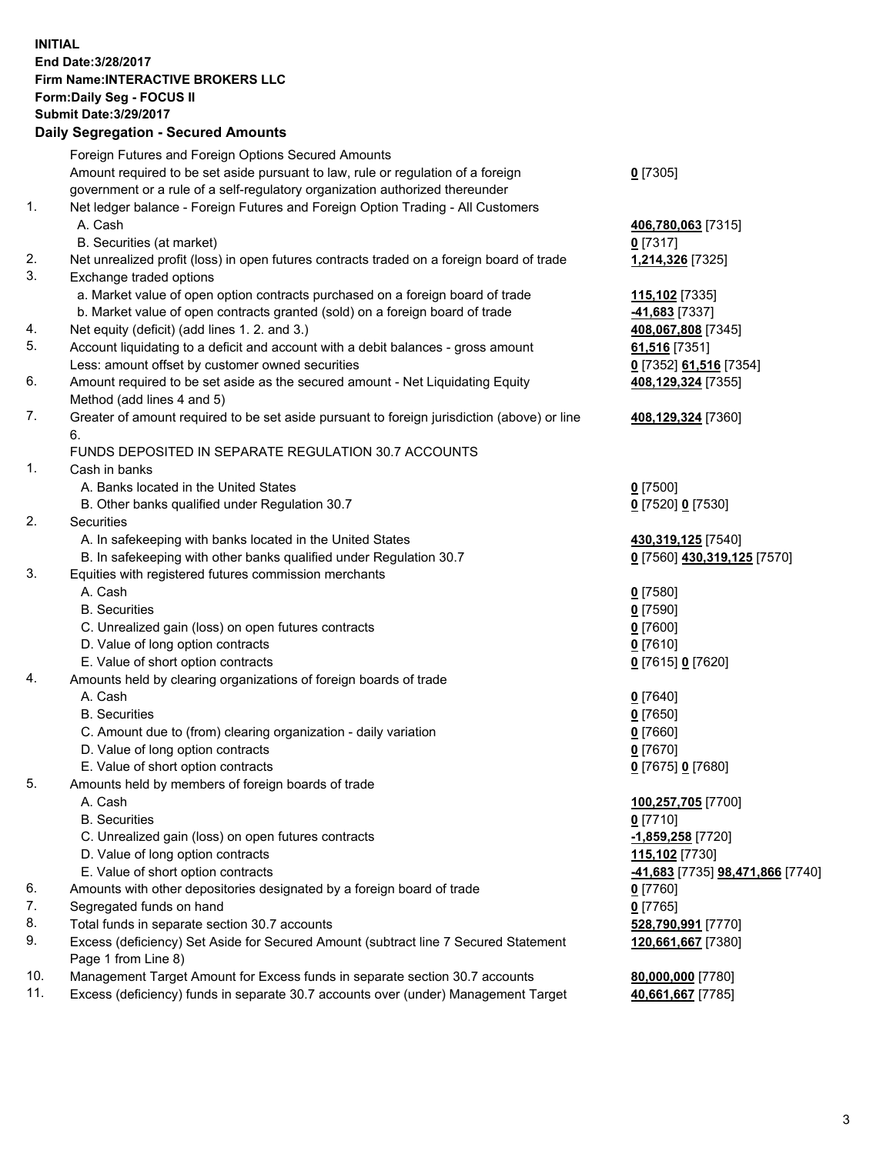## **INITIAL End Date:3/28/2017 Firm Name:INTERACTIVE BROKERS LLC Form:Daily Seg - FOCUS II Submit Date:3/29/2017 Daily Segregation - Secured Amounts**

|     | Dany Ocgregation - Oceanea Annoanta                                                         |                                  |
|-----|---------------------------------------------------------------------------------------------|----------------------------------|
|     | Foreign Futures and Foreign Options Secured Amounts                                         |                                  |
|     | Amount required to be set aside pursuant to law, rule or regulation of a foreign            | $0$ [7305]                       |
|     | government or a rule of a self-regulatory organization authorized thereunder                |                                  |
| 1.  | Net ledger balance - Foreign Futures and Foreign Option Trading - All Customers             |                                  |
|     | A. Cash                                                                                     | 406,780,063 [7315]               |
|     | B. Securities (at market)                                                                   | $0$ [7317]                       |
| 2.  | Net unrealized profit (loss) in open futures contracts traded on a foreign board of trade   | 1,214,326 [7325]                 |
| 3.  | Exchange traded options                                                                     |                                  |
|     | a. Market value of open option contracts purchased on a foreign board of trade              | 115,102 [7335]                   |
|     | b. Market value of open contracts granted (sold) on a foreign board of trade                | -41,683 <sup>[7337]</sup>        |
| 4.  | Net equity (deficit) (add lines 1.2. and 3.)                                                | 408,067,808 [7345]               |
| 5.  | Account liquidating to a deficit and account with a debit balances - gross amount           | 61,516 [7351]                    |
|     | Less: amount offset by customer owned securities                                            | 0 [7352] 61,516 [7354]           |
| 6.  | Amount required to be set aside as the secured amount - Net Liquidating Equity              | 408,129,324 [7355]               |
|     | Method (add lines 4 and 5)                                                                  |                                  |
| 7.  | Greater of amount required to be set aside pursuant to foreign jurisdiction (above) or line | 408,129,324 [7360]               |
|     | 6.                                                                                          |                                  |
|     | FUNDS DEPOSITED IN SEPARATE REGULATION 30.7 ACCOUNTS                                        |                                  |
| 1.  | Cash in banks                                                                               |                                  |
|     | A. Banks located in the United States                                                       | $0$ [7500]                       |
|     | B. Other banks qualified under Regulation 30.7                                              | 0 [7520] 0 [7530]                |
| 2.  | Securities                                                                                  |                                  |
|     | A. In safekeeping with banks located in the United States                                   | 430,319,125 [7540]               |
|     | B. In safekeeping with other banks qualified under Regulation 30.7                          | 0 [7560] 430,319,125 [7570]      |
| 3.  | Equities with registered futures commission merchants                                       |                                  |
|     | A. Cash                                                                                     | $0$ [7580]                       |
|     | <b>B.</b> Securities                                                                        | $0$ [7590]                       |
|     | C. Unrealized gain (loss) on open futures contracts                                         | $0$ [7600]                       |
|     | D. Value of long option contracts                                                           | $0$ [7610]                       |
|     | E. Value of short option contracts                                                          | 0 [7615] 0 [7620]                |
| 4.  | Amounts held by clearing organizations of foreign boards of trade                           |                                  |
|     | A. Cash                                                                                     | $0$ [7640]                       |
|     | <b>B.</b> Securities                                                                        | $0$ [7650]                       |
|     | C. Amount due to (from) clearing organization - daily variation                             | $0$ [7660]                       |
|     | D. Value of long option contracts                                                           | $0$ [7670]                       |
|     | E. Value of short option contracts                                                          | 0 [7675] 0 [7680]                |
| 5.  | Amounts held by members of foreign boards of trade                                          |                                  |
|     | A. Cash                                                                                     | 100,257,705 [7700]               |
|     | <b>B.</b> Securities                                                                        | $0$ [7710]                       |
|     | C. Unrealized gain (loss) on open futures contracts                                         | -1,859,258 [7720]                |
|     | D. Value of long option contracts                                                           | 115,102 [7730]                   |
|     | E. Value of short option contracts                                                          | -41,683 [7735] 98,471,866 [7740] |
| 6.  | Amounts with other depositories designated by a foreign board of trade                      | $0$ [7760]                       |
| 7.  | Segregated funds on hand                                                                    | $0$ [7765]                       |
| 8.  | Total funds in separate section 30.7 accounts                                               | 528,790,991 [7770]               |
| 9.  | Excess (deficiency) Set Aside for Secured Amount (subtract line 7 Secured Statement         | 120,661,667 [7380]               |
|     | Page 1 from Line 8)                                                                         |                                  |
| 10. | Management Target Amount for Excess funds in separate section 30.7 accounts                 | 80,000,000 [7780]                |
| 11. | Excess (deficiency) funds in separate 30.7 accounts over (under) Management Target          | 40,661,667 [7785]                |
|     |                                                                                             |                                  |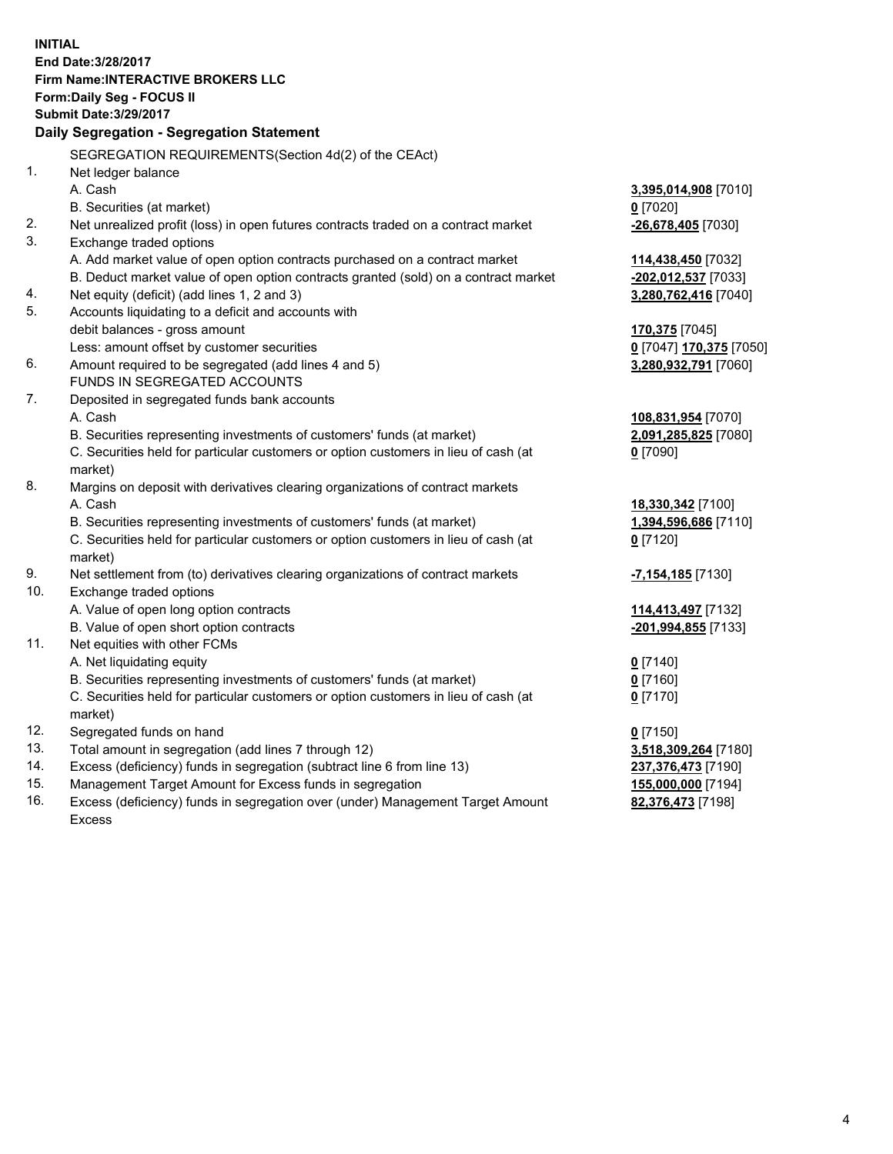**INITIAL End Date:3/28/2017 Firm Name:INTERACTIVE BROKERS LLC Form:Daily Seg - FOCUS II Submit Date:3/29/2017 Daily Segregation - Segregation Statement** SEGREGATION REQUIREMENTS(Section 4d(2) of the CEAct) 1. Net ledger balance A. Cash **3,395,014,908** [7010] B. Securities (at market) **0** [7020] 2. Net unrealized profit (loss) in open futures contracts traded on a contract market **-26,678,405** [7030] 3. Exchange traded options A. Add market value of open option contracts purchased on a contract market **114,438,450** [7032] B. Deduct market value of open option contracts granted (sold) on a contract market **-202,012,537** [7033] 4. Net equity (deficit) (add lines 1, 2 and 3) **3,280,762,416** [7040] 5. Accounts liquidating to a deficit and accounts with debit balances - gross amount **170,375** [7045] Less: amount offset by customer securities **0** [7047] **170,375** [7050] 6. Amount required to be segregated (add lines 4 and 5) **3,280,932,791** [7060] FUNDS IN SEGREGATED ACCOUNTS 7. Deposited in segregated funds bank accounts A. Cash **108,831,954** [7070] B. Securities representing investments of customers' funds (at market) **2,091,285,825** [7080] C. Securities held for particular customers or option customers in lieu of cash (at market) **0** [7090] 8. Margins on deposit with derivatives clearing organizations of contract markets A. Cash **18,330,342** [7100] B. Securities representing investments of customers' funds (at market) **1,394,596,686** [7110] C. Securities held for particular customers or option customers in lieu of cash (at market) **0** [7120] 9. Net settlement from (to) derivatives clearing organizations of contract markets **-7,154,185** [7130] 10. Exchange traded options A. Value of open long option contracts **114,413,497** [7132] B. Value of open short option contracts **-201,994,855** [7133] 11. Net equities with other FCMs A. Net liquidating equity **0** [7140] B. Securities representing investments of customers' funds (at market) **0** [7160] C. Securities held for particular customers or option customers in lieu of cash (at market) **0** [7170] 12. Segregated funds on hand **0** [7150] 13. Total amount in segregation (add lines 7 through 12) **3,518,309,264** [7180] 14. Excess (deficiency) funds in segregation (subtract line 6 from line 13) **237,376,473** [7190] 15. Management Target Amount for Excess funds in segregation **155,000,000** [7194]

16. Excess (deficiency) funds in segregation over (under) Management Target Amount Excess

**82,376,473** [7198]